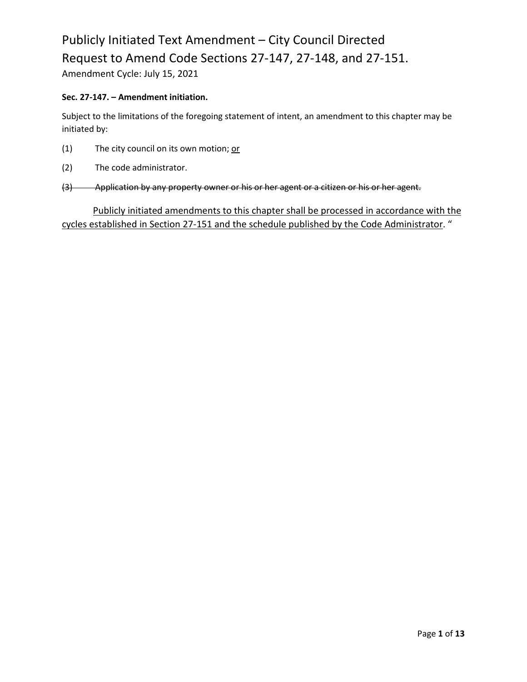Amendment Cycle: July 15, 2021

#### **Sec. 27-147. – Amendment initiation.**

Subject to the limitations of the foregoing statement of intent, an amendment to this chapter may be initiated by:

- (1) The city council on its own motion;  $or$ </u>
- (2) The code administrator.
- (3) Application by any property owner or his or her agent or a citizen or his or her agent.

Publicly initiated amendments to this chapter shall be processed in accordance with the cycles established in Section 27-151 and the schedule published by the Code Administrator. "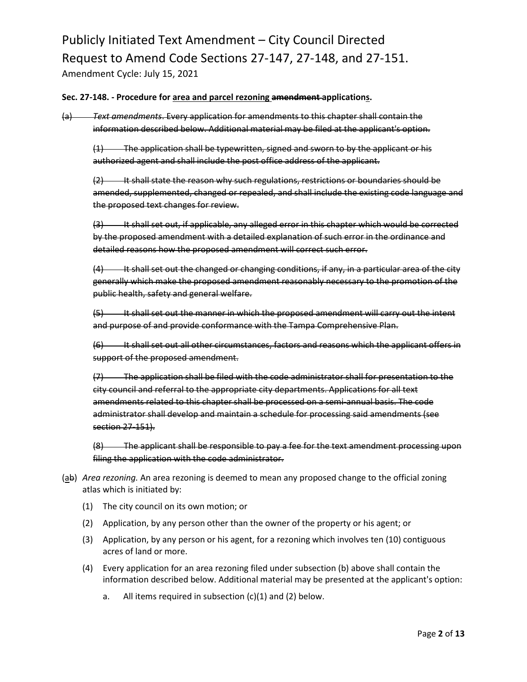#### **Sec. 27-148. - Procedure for area and parcel rezoning amendment applications.**

(a) *Text amendments*. Every application for amendments to this chapter shall contain the information described below. Additional material may be filed at the applicant's option.

 $(1)$  The application shall be typewritten, signed and sworn to by the applicant or his authorized agent and shall include the post office address of the applicant.

 $(2)$  It shall state the reason why such regulations, restrictions or boundaries should be amended, supplemented, changed or repealed, and shall include the existing code language and the proposed text changes for review.

(3) It shall set out, if applicable, any alleged error in this chapter which would be corrected by the proposed amendment with a detailed explanation of such error in the ordinance and detailed reasons how the proposed amendment will correct such error.

 $(4)$  It shall set out the changed or changing conditions, if any, in a particular area of the city generally which make the proposed amendment reasonably necessary to the promotion of the public health, safety and general welfare.

(5) It shall set out the manner in which the proposed amendment will carry out the intent and purpose of and provide conformance with the Tampa Comprehensive Plan.

(6) It shall set out all other circumstances, factors and reasons which the applicant offers in support of the proposed amendment.

(7) The application shall be filed with the code administrator shall for presentation to the city council and referral to the appropriate city departments. Applications for all text amendments related to this chapter shall be processed on a semi-annual basis. The code administrator shall develop and maintain a schedule for processing said amendments (see section 27-151).

(8) The applicant shall be responsible to pay a fee for the text amendment processing upon filing the application with the code administrator.

- (ab) *Area rezoning.* An area rezoning is deemed to mean any proposed change to the official zoning atlas which is initiated by:
	- (1) The city council on its own motion; or
	- (2) Application, by any person other than the owner of the property or his agent; or
	- (3) Application, by any person or his agent, for a rezoning which involves ten (10) contiguous acres of land or more.
	- (4) Every application for an area rezoning filed under subsection (b) above shall contain the information described below. Additional material may be presented at the applicant's option:
		- a. All items required in subsection (c)(1) and (2) below.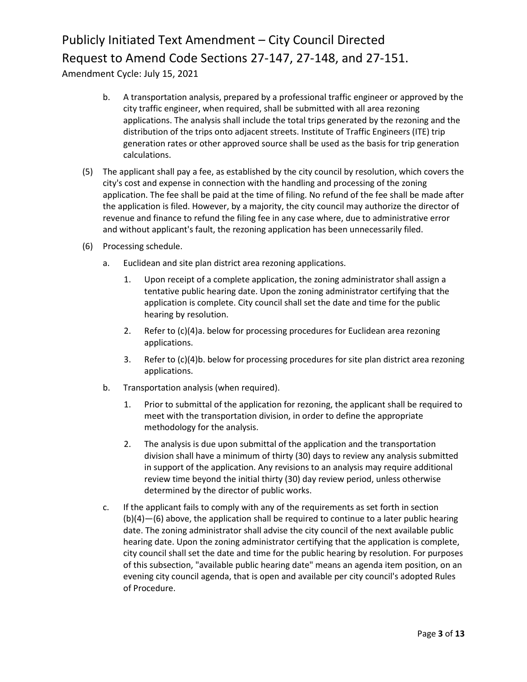Amendment Cycle: July 15, 2021

- b. A transportation analysis, prepared by a professional traffic engineer or approved by the city traffic engineer, when required, shall be submitted with all area rezoning applications. The analysis shall include the total trips generated by the rezoning and the distribution of the trips onto adjacent streets. Institute of Traffic Engineers (ITE) trip generation rates or other approved source shall be used as the basis for trip generation calculations.
- (5) The applicant shall pay a fee, as established by the city council by resolution, which covers the city's cost and expense in connection with the handling and processing of the zoning application. The fee shall be paid at the time of filing. No refund of the fee shall be made after the application is filed. However, by a majority, the city council may authorize the director of revenue and finance to refund the filing fee in any case where, due to administrative error and without applicant's fault, the rezoning application has been unnecessarily filed.
- (6) Processing schedule.
	- a. Euclidean and site plan district area rezoning applications.
		- 1. Upon receipt of a complete application, the zoning administrator shall assign a tentative public hearing date. Upon the zoning administrator certifying that the application is complete. City council shall set the date and time for the public hearing by resolution.
		- 2. Refer to (c)(4)a. below for processing procedures for Euclidean area rezoning applications.
		- 3. Refer to (c)(4)b. below for processing procedures for site plan district area rezoning applications.
	- b. Transportation analysis (when required).
		- 1. Prior to submittal of the application for rezoning, the applicant shall be required to meet with the transportation division, in order to define the appropriate methodology for the analysis.
		- 2. The analysis is due upon submittal of the application and the transportation division shall have a minimum of thirty (30) days to review any analysis submitted in support of the application. Any revisions to an analysis may require additional review time beyond the initial thirty (30) day review period, unless otherwise determined by the director of public works.
	- c. If the applicant fails to comply with any of the requirements as set forth in section (b)(4)—(6) above, the application shall be required to continue to a later public hearing date. The zoning administrator shall advise the city council of the next available public hearing date. Upon the zoning administrator certifying that the application is complete, city council shall set the date and time for the public hearing by resolution. For purposes of this subsection, "available public hearing date" means an agenda item position, on an evening city council agenda, that is open and available per city council's adopted Rules of Procedure.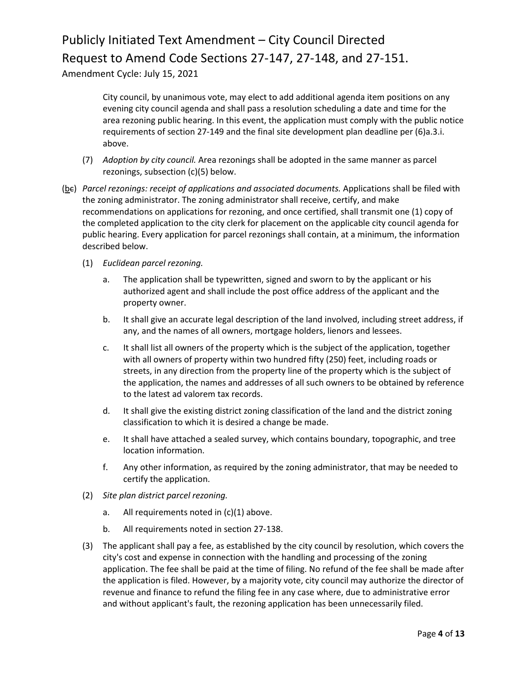Amendment Cycle: July 15, 2021

City council, by unanimous vote, may elect to add additional agenda item positions on any evening city council agenda and shall pass a resolution scheduling a date and time for the area rezoning public hearing. In this event, the application must comply with the public notice requirements of section 27-149 and the final site development plan deadline per (6)a.3.i. above.

- (7) *Adoption by city council.* Area rezonings shall be adopted in the same manner as parcel rezonings, subsection (c)(5) below.
- (bc) *Parcel rezonings: receipt of applications and associated documents.* Applications shall be filed with the zoning administrator. The zoning administrator shall receive, certify, and make recommendations on applications for rezoning, and once certified, shall transmit one (1) copy of the completed application to the city clerk for placement on the applicable city council agenda for public hearing. Every application for parcel rezonings shall contain, at a minimum, the information described below.
	- (1) *Euclidean parcel rezoning.*
		- a. The application shall be typewritten, signed and sworn to by the applicant or his authorized agent and shall include the post office address of the applicant and the property owner.
		- b. It shall give an accurate legal description of the land involved, including street address, if any, and the names of all owners, mortgage holders, lienors and lessees.
		- c. It shall list all owners of the property which is the subject of the application, together with all owners of property within two hundred fifty (250) feet, including roads or streets, in any direction from the property line of the property which is the subject of the application, the names and addresses of all such owners to be obtained by reference to the latest ad valorem tax records.
		- d. It shall give the existing district zoning classification of the land and the district zoning classification to which it is desired a change be made.
		- e. It shall have attached a sealed survey, which contains boundary, topographic, and tree location information.
		- f. Any other information, as required by the zoning administrator, that may be needed to certify the application.
	- (2) *Site plan district parcel rezoning.*
		- a. All requirements noted in (c)(1) above.
		- b. All requirements noted in section 27-138.
	- (3) The applicant shall pay a fee, as established by the city council by resolution, which covers the city's cost and expense in connection with the handling and processing of the zoning application. The fee shall be paid at the time of filing. No refund of the fee shall be made after the application is filed. However, by a majority vote, city council may authorize the director of revenue and finance to refund the filing fee in any case where, due to administrative error and without applicant's fault, the rezoning application has been unnecessarily filed.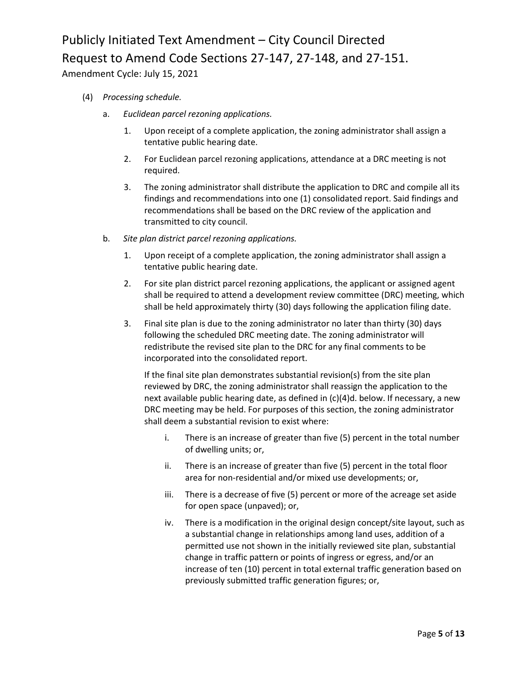Amendment Cycle: July 15, 2021

- (4) *Processing schedule.*
	- a. *Euclidean parcel rezoning applications.*
		- 1. Upon receipt of a complete application, the zoning administrator shall assign a tentative public hearing date.
		- 2. For Euclidean parcel rezoning applications, attendance at a DRC meeting is not required.
		- 3. The zoning administrator shall distribute the application to DRC and compile all its findings and recommendations into one (1) consolidated report. Said findings and recommendations shall be based on the DRC review of the application and transmitted to city council.
	- b. *Site plan district parcel rezoning applications.*
		- 1. Upon receipt of a complete application, the zoning administrator shall assign a tentative public hearing date.
		- 2. For site plan district parcel rezoning applications, the applicant or assigned agent shall be required to attend a development review committee (DRC) meeting, which shall be held approximately thirty (30) days following the application filing date.
		- 3. Final site plan is due to the zoning administrator no later than thirty (30) days following the scheduled DRC meeting date. The zoning administrator will redistribute the revised site plan to the DRC for any final comments to be incorporated into the consolidated report.

If the final site plan demonstrates substantial revision(s) from the site plan reviewed by DRC, the zoning administrator shall reassign the application to the next available public hearing date, as defined in (c)(4)d. below. If necessary, a new DRC meeting may be held. For purposes of this section, the zoning administrator shall deem a substantial revision to exist where:

- i. There is an increase of greater than five (5) percent in the total number of dwelling units; or,
- ii. There is an increase of greater than five (5) percent in the total floor area for non-residential and/or mixed use developments; or,
- iii. There is a decrease of five (5) percent or more of the acreage set aside for open space (unpaved); or,
- iv. There is a modification in the original design concept/site layout, such as a substantial change in relationships among land uses, addition of a permitted use not shown in the initially reviewed site plan, substantial change in traffic pattern or points of ingress or egress, and/or an increase of ten (10) percent in total external traffic generation based on previously submitted traffic generation figures; or,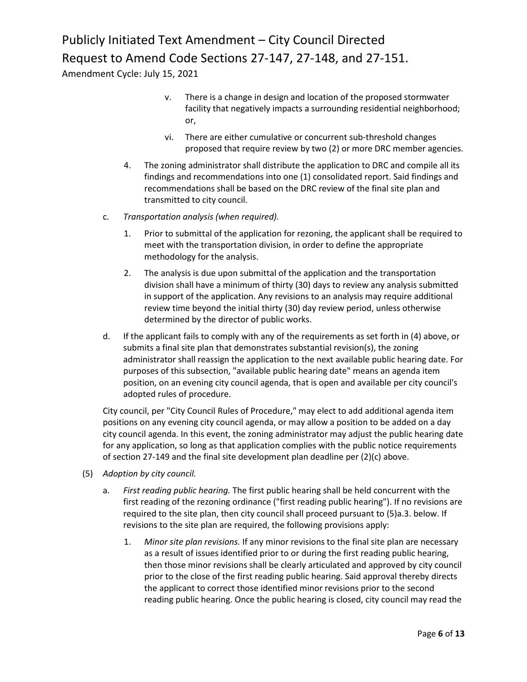Amendment Cycle: July 15, 2021

- v. There is a change in design and location of the proposed stormwater facility that negatively impacts a surrounding residential neighborhood; or,
- vi. There are either cumulative or concurrent sub-threshold changes proposed that require review by two (2) or more DRC member agencies.
- 4. The zoning administrator shall distribute the application to DRC and compile all its findings and recommendations into one (1) consolidated report. Said findings and recommendations shall be based on the DRC review of the final site plan and transmitted to city council.
- c. *Transportation analysis (when required).*
	- 1. Prior to submittal of the application for rezoning, the applicant shall be required to meet with the transportation division, in order to define the appropriate methodology for the analysis.
	- 2. The analysis is due upon submittal of the application and the transportation division shall have a minimum of thirty (30) days to review any analysis submitted in support of the application. Any revisions to an analysis may require additional review time beyond the initial thirty (30) day review period, unless otherwise determined by the director of public works.
- d. If the applicant fails to comply with any of the requirements as set forth in (4) above, or submits a final site plan that demonstrates substantial revision(s), the zoning administrator shall reassign the application to the next available public hearing date. For purposes of this subsection, "available public hearing date" means an agenda item position, on an evening city council agenda, that is open and available per city council's adopted rules of procedure.

City council, per "City Council Rules of Procedure," may elect to add additional agenda item positions on any evening city council agenda, or may allow a position to be added on a day city council agenda. In this event, the zoning administrator may adjust the public hearing date for any application, so long as that application complies with the public notice requirements of section 27-149 and the final site development plan deadline per (2)(c) above.

- (5) *Adoption by city council.*
	- a. *First reading public hearing.* The first public hearing shall be held concurrent with the first reading of the rezoning ordinance ("first reading public hearing"). If no revisions are required to the site plan, then city council shall proceed pursuant to (5)a.3. below. If revisions to the site plan are required, the following provisions apply:
		- 1. *Minor site plan revisions.* If any minor revisions to the final site plan are necessary as a result of issues identified prior to or during the first reading public hearing, then those minor revisions shall be clearly articulated and approved by city council prior to the close of the first reading public hearing. Said approval thereby directs the applicant to correct those identified minor revisions prior to the second reading public hearing. Once the public hearing is closed, city council may read the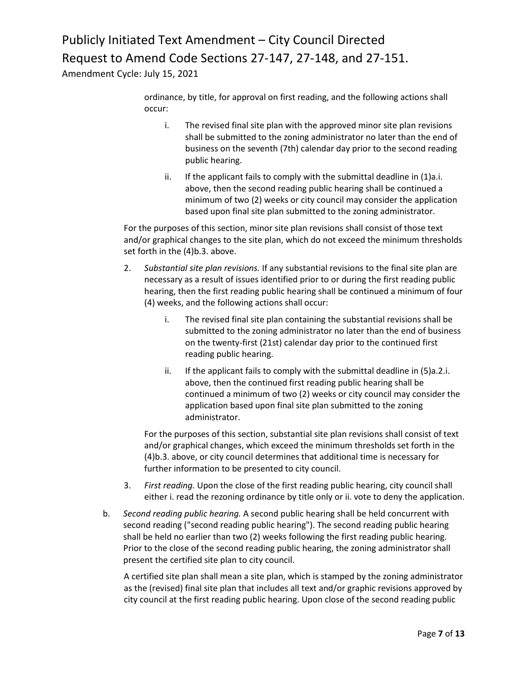Amendment Cycle: July 15, 2021

ordinance, by title, for approval on first reading, and the following actions shall occur:

- i. The revised final site plan with the approved minor site plan revisions shall be submitted to the zoning administrator no later than the end of business on the seventh (7th) calendar day prior to the second reading public hearing.
- ii. If the applicant fails to comply with the submittal deadline in (1)a.i. above, then the second reading public hearing shall be continued a minimum of two (2) weeks or city council may consider the application based upon final site plan submitted to the zoning administrator.

For the purposes of this section, minor site plan revisions shall consist of those text and/or graphical changes to the site plan, which do not exceed the minimum thresholds set forth in the (4)b.3. above.

- 2. *Substantial site plan revisions.* If any substantial revisions to the final site plan are necessary as a result of issues identified prior to or during the first reading public hearing, then the first reading public hearing shall be continued a minimum of four (4) weeks, and the following actions shall occur:
	- i. The revised final site plan containing the substantial revisions shall be submitted to the zoning administrator no later than the end of business on the twenty-first (21st) calendar day prior to the continued first reading public hearing.
	- ii. If the applicant fails to comply with the submittal deadline in (5)a.2.i. above, then the continued first reading public hearing shall be continued a minimum of two (2) weeks or city council may consider the application based upon final site plan submitted to the zoning administrator.

For the purposes of this section, substantial site plan revisions shall consist of text and/or graphical changes, which exceed the minimum thresholds set forth in the (4)b.3. above, or city council determines that additional time is necessary for further information to be presented to city council.

- 3. *First reading.* Upon the close of the first reading public hearing, city council shall either i. read the rezoning ordinance by title only or ii. vote to deny the application.
- b. *Second reading public hearing.* A second public hearing shall be held concurrent with second reading ("second reading public hearing"). The second reading public hearing shall be held no earlier than two (2) weeks following the first reading public hearing. Prior to the close of the second reading public hearing, the zoning administrator shall present the certified site plan to city council.

A certified site plan shall mean a site plan, which is stamped by the zoning administrator as the (revised) final site plan that includes all text and/or graphic revisions approved by city council at the first reading public hearing. Upon close of the second reading public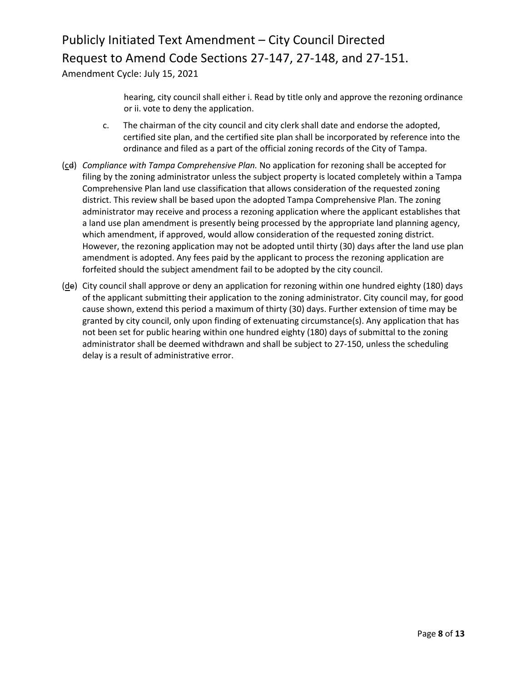Amendment Cycle: July 15, 2021

hearing, city council shall either i. Read by title only and approve the rezoning ordinance or ii. vote to deny the application.

- c. The chairman of the city council and city clerk shall date and endorse the adopted, certified site plan, and the certified site plan shall be incorporated by reference into the ordinance and filed as a part of the official zoning records of the City of Tampa.
- (cd) *Compliance with Tampa Comprehensive Plan.* No application for rezoning shall be accepted for filing by the zoning administrator unless the subject property is located completely within a Tampa Comprehensive Plan land use classification that allows consideration of the requested zoning district. This review shall be based upon the adopted Tampa Comprehensive Plan. The zoning administrator may receive and process a rezoning application where the applicant establishes that a land use plan amendment is presently being processed by the appropriate land planning agency, which amendment, if approved, would allow consideration of the requested zoning district. However, the rezoning application may not be adopted until thirty (30) days after the land use plan amendment is adopted. Any fees paid by the applicant to process the rezoning application are forfeited should the subject amendment fail to be adopted by the city council.
- (de) City council shall approve or deny an application for rezoning within one hundred eighty (180) days of the applicant submitting their application to the zoning administrator. City council may, for good cause shown, extend this period a maximum of thirty (30) days. Further extension of time may be granted by city council, only upon finding of extenuating circumstance(s). Any application that has not been set for public hearing within one hundred eighty (180) days of submittal to the zoning administrator shall be deemed withdrawn and shall be subject to 27-150, unless the scheduling delay is a result of administrative error.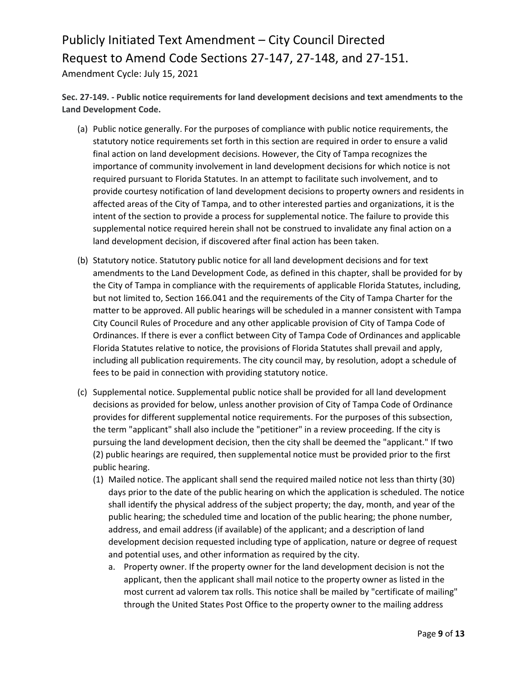**Sec. 27-149. - Public notice requirements for land development decisions and text amendments to the Land Development Code.**

- (a) Public notice generally. For the purposes of compliance with public notice requirements, the statutory notice requirements set forth in this section are required in order to ensure a valid final action on land development decisions. However, the City of Tampa recognizes the importance of community involvement in land development decisions for which notice is not required pursuant to Florida Statutes. In an attempt to facilitate such involvement, and to provide courtesy notification of land development decisions to property owners and residents in affected areas of the City of Tampa, and to other interested parties and organizations, it is the intent of the section to provide a process for supplemental notice. The failure to provide this supplemental notice required herein shall not be construed to invalidate any final action on a land development decision, if discovered after final action has been taken.
- (b) Statutory notice. Statutory public notice for all land development decisions and for text amendments to the Land Development Code, as defined in this chapter, shall be provided for by the City of Tampa in compliance with the requirements of applicable Florida Statutes, including, but not limited to, Section 166.041 and the requirements of the City of Tampa Charter for the matter to be approved. All public hearings will be scheduled in a manner consistent with Tampa City Council Rules of Procedure and any other applicable provision of City of Tampa Code of Ordinances. If there is ever a conflict between City of Tampa Code of Ordinances and applicable Florida Statutes relative to notice, the provisions of Florida Statutes shall prevail and apply, including all publication requirements. The city council may, by resolution, adopt a schedule of fees to be paid in connection with providing statutory notice.
- (c) Supplemental notice. Supplemental public notice shall be provided for all land development decisions as provided for below, unless another provision of City of Tampa Code of Ordinance provides for different supplemental notice requirements. For the purposes of this subsection, the term "applicant" shall also include the "petitioner" in a review proceeding. If the city is pursuing the land development decision, then the city shall be deemed the "applicant." If two (2) public hearings are required, then supplemental notice must be provided prior to the first public hearing.
	- (1) Mailed notice. The applicant shall send the required mailed notice not less than thirty (30) days prior to the date of the public hearing on which the application is scheduled. The notice shall identify the physical address of the subject property; the day, month, and year of the public hearing; the scheduled time and location of the public hearing; the phone number, address, and email address (if available) of the applicant; and a description of land development decision requested including type of application, nature or degree of request and potential uses, and other information as required by the city.
		- a. Property owner. If the property owner for the land development decision is not the applicant, then the applicant shall mail notice to the property owner as listed in the most current ad valorem tax rolls. This notice shall be mailed by "certificate of mailing" through the United States Post Office to the property owner to the mailing address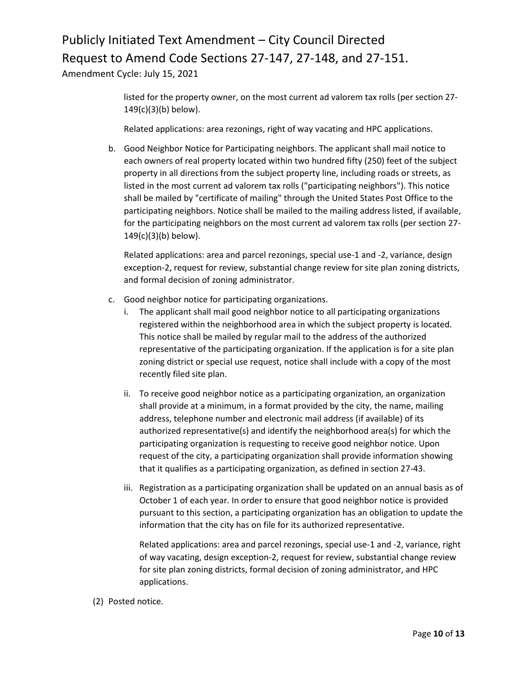Amendment Cycle: July 15, 2021

listed for the property owner, on the most current ad valorem tax rolls (per section 27- 149(c)(3)(b) below).

Related applications: area rezonings, right of way vacating and HPC applications.

b. Good Neighbor Notice for Participating neighbors. The applicant shall mail notice to each owners of real property located within two hundred fifty (250) feet of the subject property in all directions from the subject property line, including roads or streets, as listed in the most current ad valorem tax rolls ("participating neighbors"). This notice shall be mailed by "certificate of mailing" through the United States Post Office to the participating neighbors. Notice shall be mailed to the mailing address listed, if available, for the participating neighbors on the most current ad valorem tax rolls (per section 27- 149(c)(3)(b) below).

Related applications: area and parcel rezonings, special use-1 and -2, variance, design exception-2, request for review, substantial change review for site plan zoning districts, and formal decision of zoning administrator.

- c. Good neighbor notice for participating organizations.
	- i. The applicant shall mail good neighbor notice to all participating organizations registered within the neighborhood area in which the subject property is located. This notice shall be mailed by regular mail to the address of the authorized representative of the participating organization. If the application is for a site plan zoning district or special use request, notice shall include with a copy of the most recently filed site plan.
	- ii. To receive good neighbor notice as a participating organization, an organization shall provide at a minimum, in a format provided by the city, the name, mailing address, telephone number and electronic mail address (if available) of its authorized representative(s) and identify the neighborhood area(s) for which the participating organization is requesting to receive good neighbor notice. Upon request of the city, a participating organization shall provide information showing that it qualifies as a participating organization, as defined in section 27-43.
	- iii. Registration as a participating organization shall be updated on an annual basis as of October 1 of each year. In order to ensure that good neighbor notice is provided pursuant to this section, a participating organization has an obligation to update the information that the city has on file for its authorized representative.

Related applications: area and parcel rezonings, special use-1 and -2, variance, right of way vacating, design exception-2, request for review, substantial change review for site plan zoning districts, formal decision of zoning administrator, and HPC applications.

(2) Posted notice.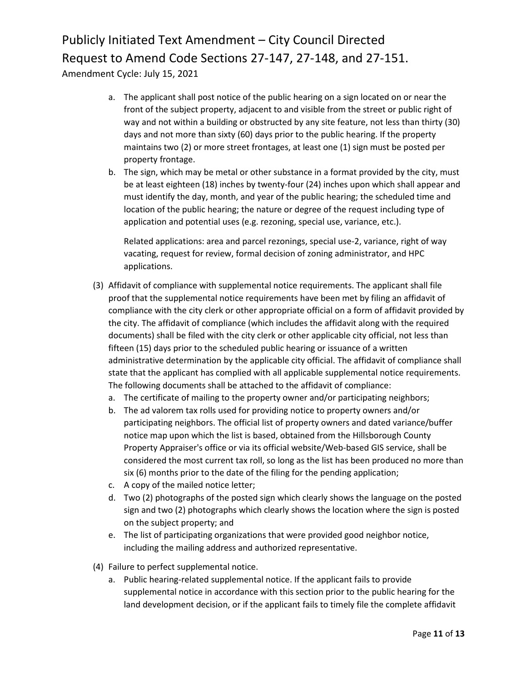Amendment Cycle: July 15, 2021

- a. The applicant shall post notice of the public hearing on a sign located on or near the front of the subject property, adjacent to and visible from the street or public right of way and not within a building or obstructed by any site feature, not less than thirty (30) days and not more than sixty (60) days prior to the public hearing. If the property maintains two (2) or more street frontages, at least one (1) sign must be posted per property frontage.
- b. The sign, which may be metal or other substance in a format provided by the city, must be at least eighteen (18) inches by twenty-four (24) inches upon which shall appear and must identify the day, month, and year of the public hearing; the scheduled time and location of the public hearing; the nature or degree of the request including type of application and potential uses (e.g. rezoning, special use, variance, etc.).

Related applications: area and parcel rezonings, special use-2, variance, right of way vacating, request for review, formal decision of zoning administrator, and HPC applications.

- (3) Affidavit of compliance with supplemental notice requirements. The applicant shall file proof that the supplemental notice requirements have been met by filing an affidavit of compliance with the city clerk or other appropriate official on a form of affidavit provided by the city. The affidavit of compliance (which includes the affidavit along with the required documents) shall be filed with the city clerk or other applicable city official, not less than fifteen (15) days prior to the scheduled public hearing or issuance of a written administrative determination by the applicable city official. The affidavit of compliance shall state that the applicant has complied with all applicable supplemental notice requirements. The following documents shall be attached to the affidavit of compliance:
	- a. The certificate of mailing to the property owner and/or participating neighbors;
	- b. The ad valorem tax rolls used for providing notice to property owners and/or participating neighbors. The official list of property owners and dated variance/buffer notice map upon which the list is based, obtained from the Hillsborough County Property Appraiser's office or via its official website/Web-based GIS service, shall be considered the most current tax roll, so long as the list has been produced no more than six (6) months prior to the date of the filing for the pending application;
	- c. A copy of the mailed notice letter;
	- d. Two (2) photographs of the posted sign which clearly shows the language on the posted sign and two (2) photographs which clearly shows the location where the sign is posted on the subject property; and
	- e. The list of participating organizations that were provided good neighbor notice, including the mailing address and authorized representative.
- (4) Failure to perfect supplemental notice.
	- a. Public hearing-related supplemental notice. If the applicant fails to provide supplemental notice in accordance with this section prior to the public hearing for the land development decision, or if the applicant fails to timely file the complete affidavit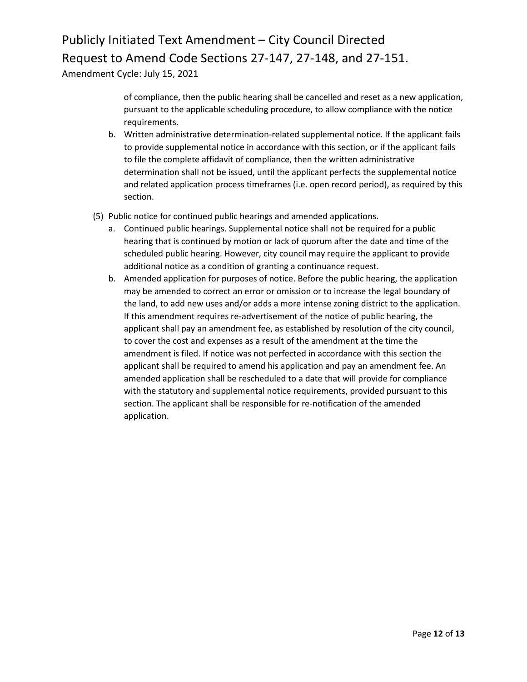Amendment Cycle: July 15, 2021

of compliance, then the public hearing shall be cancelled and reset as a new application, pursuant to the applicable scheduling procedure, to allow compliance with the notice requirements.

- b. Written administrative determination-related supplemental notice. If the applicant fails to provide supplemental notice in accordance with this section, or if the applicant fails to file the complete affidavit of compliance, then the written administrative determination shall not be issued, until the applicant perfects the supplemental notice and related application process timeframes (i.e. open record period), as required by this section.
- (5) Public notice for continued public hearings and amended applications.
	- a. Continued public hearings. Supplemental notice shall not be required for a public hearing that is continued by motion or lack of quorum after the date and time of the scheduled public hearing. However, city council may require the applicant to provide additional notice as a condition of granting a continuance request.
	- b. Amended application for purposes of notice. Before the public hearing, the application may be amended to correct an error or omission or to increase the legal boundary of the land, to add new uses and/or adds a more intense zoning district to the application. If this amendment requires re-advertisement of the notice of public hearing, the applicant shall pay an amendment fee, as established by resolution of the city council, to cover the cost and expenses as a result of the amendment at the time the amendment is filed. If notice was not perfected in accordance with this section the applicant shall be required to amend his application and pay an amendment fee. An amended application shall be rescheduled to a date that will provide for compliance with the statutory and supplemental notice requirements, provided pursuant to this section. The applicant shall be responsible for re-notification of the amended application.